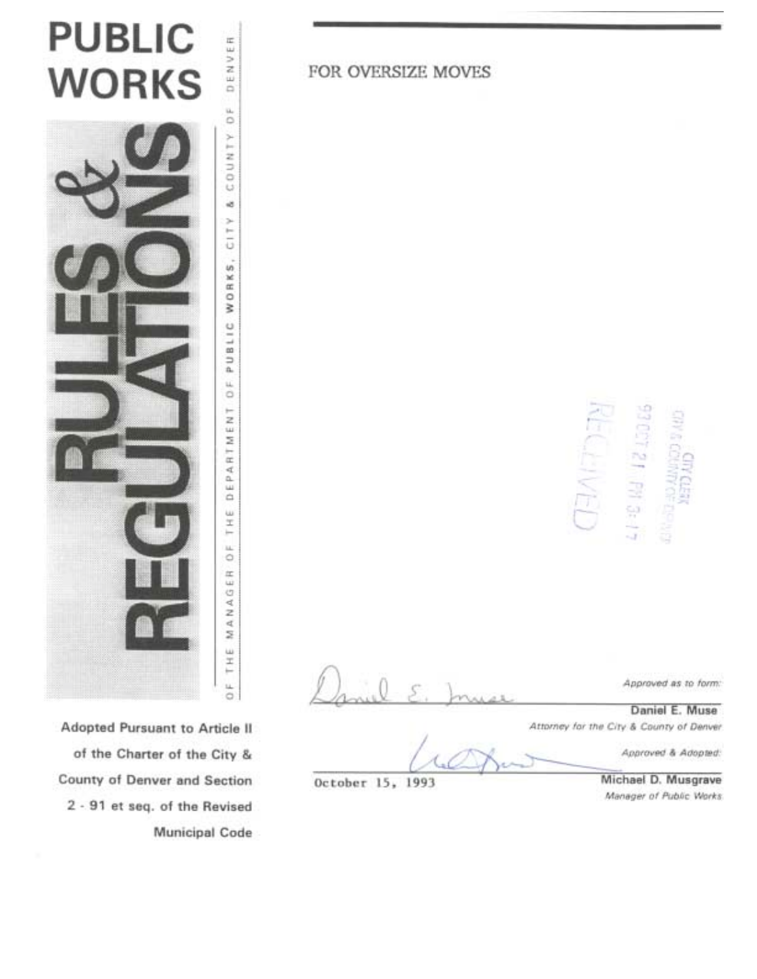

Adopted Pursuant to Article II of the Charter of the City & County of Denver and Section 2 - 91 et seq. of the Revised Municipal Code FOR OVERSIZE MOVES



Approved as to form: Daniel E. Muse

Attorney for the City & County of Denver

Approved & Adopted:

October 15, 1993

Michael D. Musgrave Manager of Public Works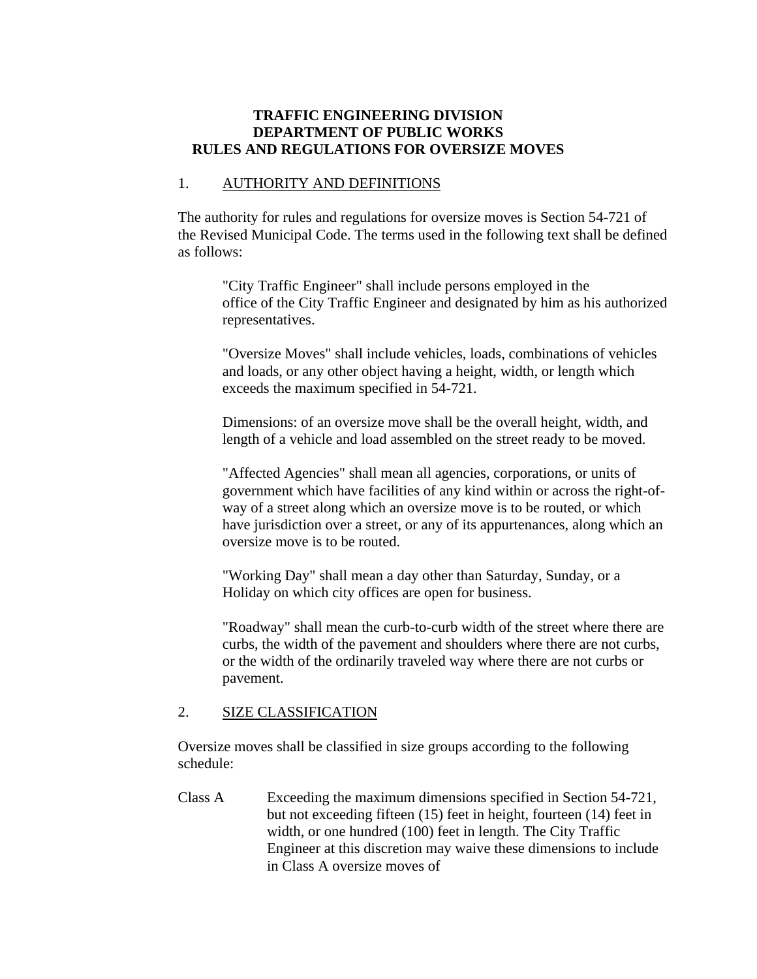# **TRAFFIC ENGINEERING DIVISION DEPARTMENT OF PUBLIC WORKS RULES AND REGULATIONS FOR OVERSIZE MOVES**

## 1. AUTHORITY AND DEFINITIONS

The authority for rules and regulations for oversize moves is Section 54-721 of the Revised Municipal Code. The terms used in the following text shall be defined as follows:

"City Traffic Engineer" shall include persons employed in the office of the City Traffic Engineer and designated by him as his authorized representatives.

"Oversize Moves" shall include vehicles, loads, combinations of vehicles and loads, or any other object having a height, width, or length which exceeds the maximum specified in 54-721.

Dimensions: of an oversize move shall be the overall height, width, and length of a vehicle and load assembled on the street ready to be moved.

"Affected Agencies" shall mean all agencies, corporations, or units of government which have facilities of any kind within or across the right-ofway of a street along which an oversize move is to be routed, or which have jurisdiction over a street, or any of its appurtenances, along which an oversize move is to be routed.

"Working Day" shall mean a day other than Saturday, Sunday, or a Holiday on which city offices are open for business.

"Roadway" shall mean the curb-to-curb width of the street where there are curbs, the width of the pavement and shoulders where there are not curbs, or the width of the ordinarily traveled way where there are not curbs or pavement.

## 2. SIZE CLASSIFICATION

Oversize moves shall be classified in size groups according to the following schedule:

Class A Exceeding the maximum dimensions specified in Section 54-721, but not exceeding fifteen (15) feet in height, fourteen (14) feet in width, or one hundred (100) feet in length. The City Traffic Engineer at this discretion may waive these dimensions to include in Class A oversize moves of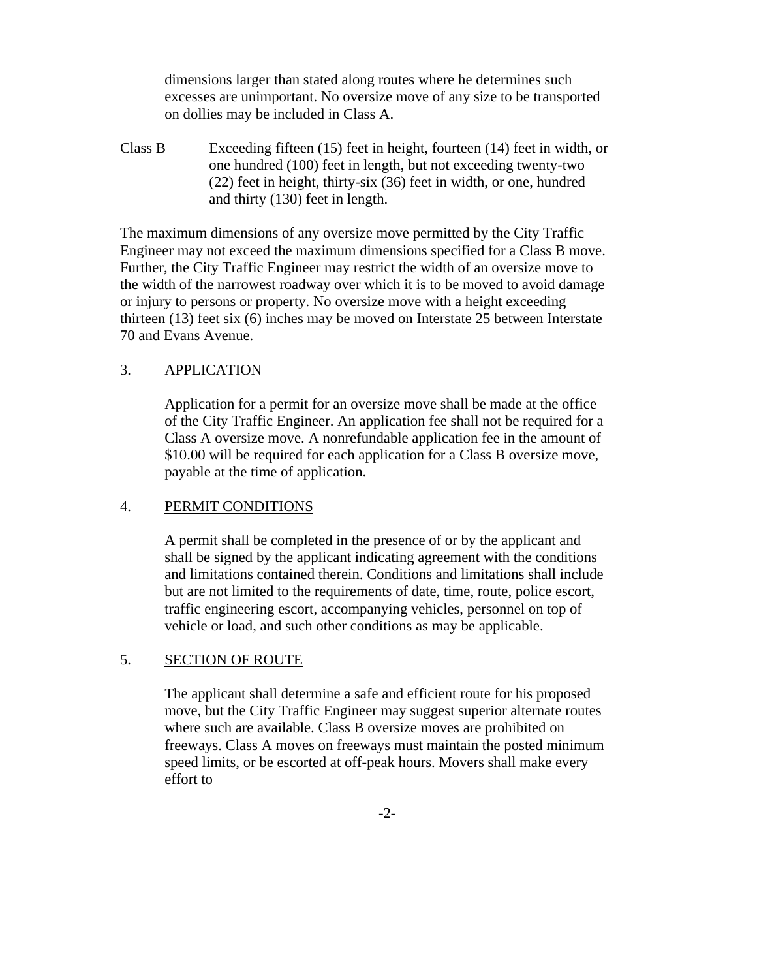dimensions larger than stated along routes where he determines such excesses are unimportant. No oversize move of any size to be transported on dollies may be included in Class A.

Class B Exceeding fifteen (15) feet in height, fourteen (14) feet in width, or one hundred (100) feet in length, but not exceeding twenty-two (22) feet in height, thirty-six (36) feet in width, or one, hundred and thirty (130) feet in length.

The maximum dimensions of any oversize move permitted by the City Traffic Engineer may not exceed the maximum dimensions specified for a Class B move. Further, the City Traffic Engineer may restrict the width of an oversize move to the width of the narrowest roadway over which it is to be moved to avoid damage or injury to persons or property. No oversize move with a height exceeding thirteen (13) feet six (6) inches may be moved on Interstate 25 between Interstate 70 and Evans Avenue.

# 3. APPLICATION

Application for a permit for an oversize move shall be made at the office of the City Traffic Engineer. An application fee shall not be required for a Class A oversize move. A nonrefundable application fee in the amount of \$10.00 will be required for each application for a Class B oversize move, payable at the time of application.

## 4. PERMIT CONDITIONS

A permit shall be completed in the presence of or by the applicant and shall be signed by the applicant indicating agreement with the conditions and limitations contained therein. Conditions and limitations shall include but are not limited to the requirements of date, time, route, police escort, traffic engineering escort, accompanying vehicles, personnel on top of vehicle or load, and such other conditions as may be applicable.

## 5. SECTION OF ROUTE

The applicant shall determine a safe and efficient route for his proposed move, but the City Traffic Engineer may suggest superior alternate routes where such are available. Class B oversize moves are prohibited on freeways. Class A moves on freeways must maintain the posted minimum speed limits, or be escorted at off-peak hours. Movers shall make every effort to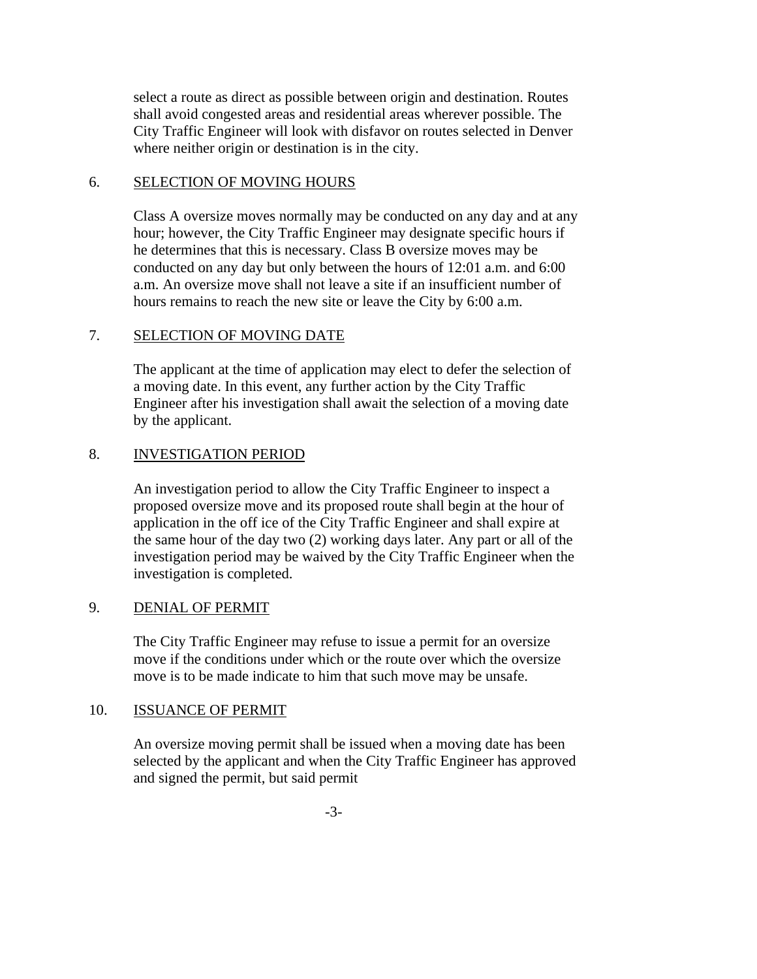select a route as direct as possible between origin and destination. Routes shall avoid congested areas and residential areas wherever possible. The City Traffic Engineer will look with disfavor on routes selected in Denver where neither origin or destination is in the city.

### 6. SELECTION OF MOVING HOURS

Class A oversize moves normally may be conducted on any day and at any hour; however, the City Traffic Engineer may designate specific hours if he determines that this is necessary. Class B oversize moves may be conducted on any day but only between the hours of 12:01 a.m. and 6:00 a.m. An oversize move shall not leave a site if an insufficient number of hours remains to reach the new site or leave the City by 6:00 a.m.

# 7. SELECTION OF MOVING DATE

The applicant at the time of application may elect to defer the selection of a moving date. In this event, any further action by the City Traffic Engineer after his investigation shall await the selection of a moving date by the applicant.

# 8. INVESTIGATION PERIOD

An investigation period to allow the City Traffic Engineer to inspect a proposed oversize move and its proposed route shall begin at the hour of application in the off ice of the City Traffic Engineer and shall expire at the same hour of the day two (2) working days later. Any part or all of the investigation period may be waived by the City Traffic Engineer when the investigation is completed.

## 9. DENIAL OF PERMIT

The City Traffic Engineer may refuse to issue a permit for an oversize move if the conditions under which or the route over which the oversize move is to be made indicate to him that such move may be unsafe.

## 10. ISSUANCE OF PERMIT

An oversize moving permit shall be issued when a moving date has been selected by the applicant and when the City Traffic Engineer has approved and signed the permit, but said permit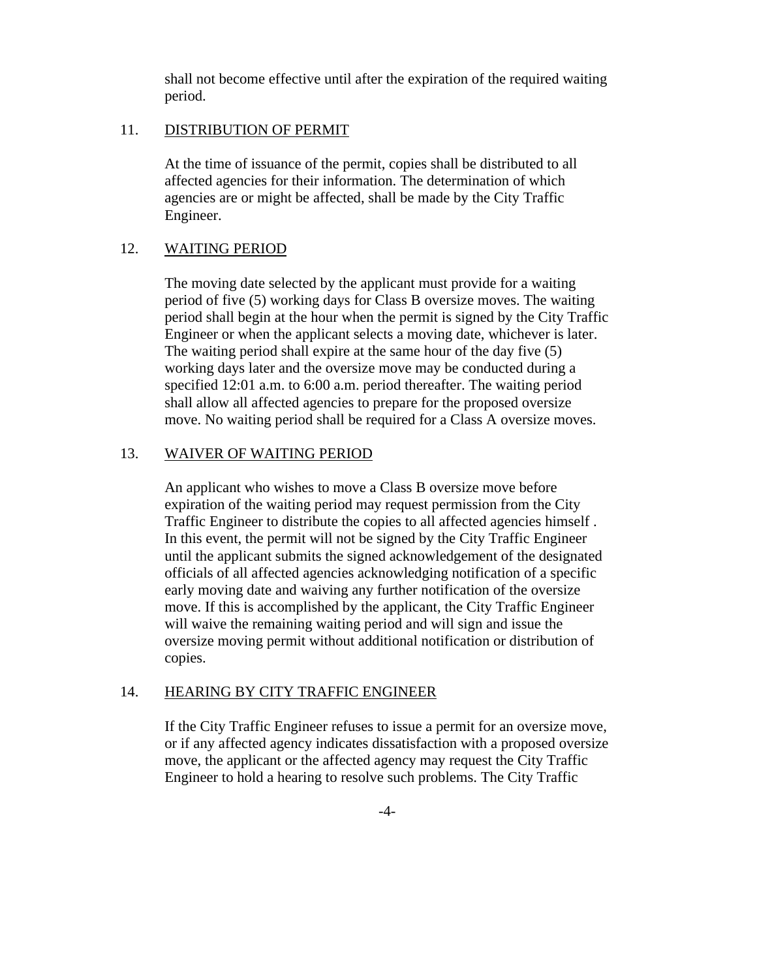shall not become effective until after the expiration of the required waiting period.

### 11. DISTRIBUTION OF PERMIT

At the time of issuance of the permit, copies shall be distributed to all affected agencies for their information. The determination of which agencies are or might be affected, shall be made by the City Traffic Engineer.

## 12. WAITING PERIOD

The moving date selected by the applicant must provide for a waiting period of five (5) working days for Class B oversize moves. The waiting period shall begin at the hour when the permit is signed by the City Traffic Engineer or when the applicant selects a moving date, whichever is later. The waiting period shall expire at the same hour of the day five (5) working days later and the oversize move may be conducted during a specified 12:01 a.m. to 6:00 a.m. period thereafter. The waiting period shall allow all affected agencies to prepare for the proposed oversize move. No waiting period shall be required for a Class A oversize moves.

# 13. WAIVER OF WAITING PERIOD

An applicant who wishes to move a Class B oversize move before expiration of the waiting period may request permission from the City Traffic Engineer to distribute the copies to all affected agencies himself . In this event, the permit will not be signed by the City Traffic Engineer until the applicant submits the signed acknowledgement of the designated officials of all affected agencies acknowledging notification of a specific early moving date and waiving any further notification of the oversize move. If this is accomplished by the applicant, the City Traffic Engineer will waive the remaining waiting period and will sign and issue the oversize moving permit without additional notification or distribution of copies.

## 14. HEARING BY CITY TRAFFIC ENGINEER

If the City Traffic Engineer refuses to issue a permit for an oversize move, or if any affected agency indicates dissatisfaction with a proposed oversize move, the applicant or the affected agency may request the City Traffic Engineer to hold a hearing to resolve such problems. The City Traffic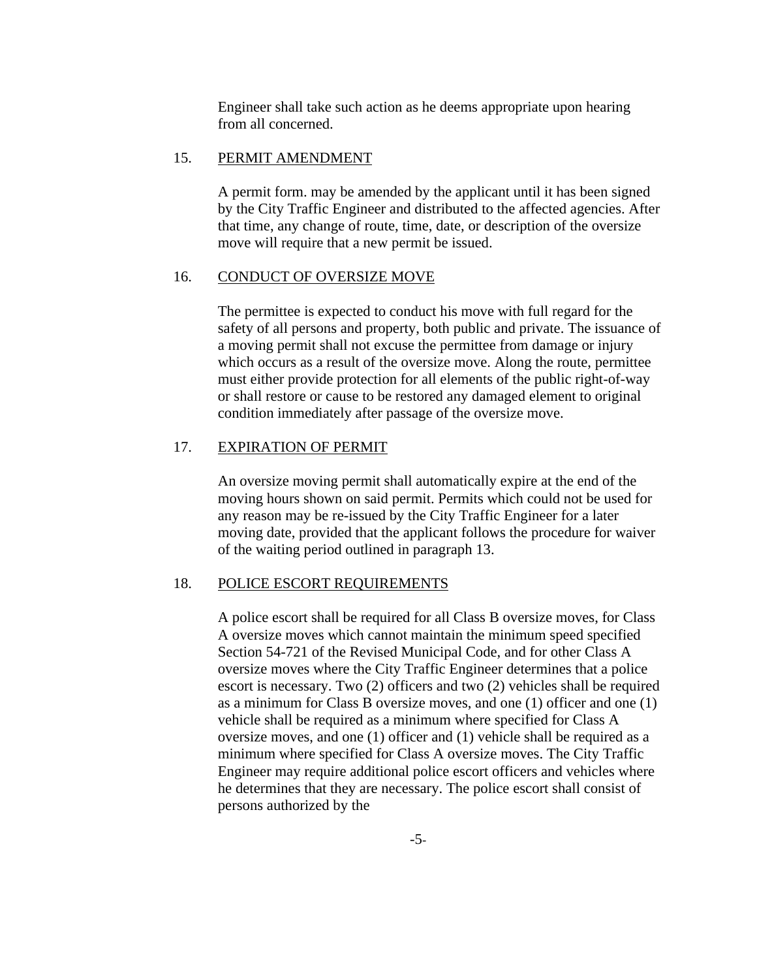Engineer shall take such action as he deems appropriate upon hearing from all concerned.

#### 15. PERMIT AMENDMENT

A permit form. may be amended by the applicant until it has been signed by the City Traffic Engineer and distributed to the affected agencies. After that time, any change of route, time, date, or description of the oversize move will require that a new permit be issued.

#### 16. CONDUCT OF OVERSIZE MOVE

The permittee is expected to conduct his move with full regard for the safety of all persons and property, both public and private. The issuance of a moving permit shall not excuse the permittee from damage or injury which occurs as a result of the oversize move. Along the route, permittee must either provide protection for all elements of the public right-of-way or shall restore or cause to be restored any damaged element to original condition immediately after passage of the oversize move.

#### 17. EXPIRATION OF PERMIT

An oversize moving permit shall automatically expire at the end of the moving hours shown on said permit. Permits which could not be used for any reason may be re-issued by the City Traffic Engineer for a later moving date, provided that the applicant follows the procedure for waiver of the waiting period outlined in paragraph 13.

#### 18. POLICE ESCORT REQUIREMENTS

A police escort shall be required for all Class B oversize moves, for Class A oversize moves which cannot maintain the minimum speed specified Section 54-721 of the Revised Municipal Code, and for other Class A oversize moves where the City Traffic Engineer determines that a police escort is necessary. Two (2) officers and two (2) vehicles shall be required as a minimum for Class B oversize moves, and one (1) officer and one (1) vehicle shall be required as a minimum where specified for Class A oversize moves, and one (1) officer and (1) vehicle shall be required as a minimum where specified for Class A oversize moves. The City Traffic Engineer may require additional police escort officers and vehicles where he determines that they are necessary. The police escort shall consist of persons authorized by the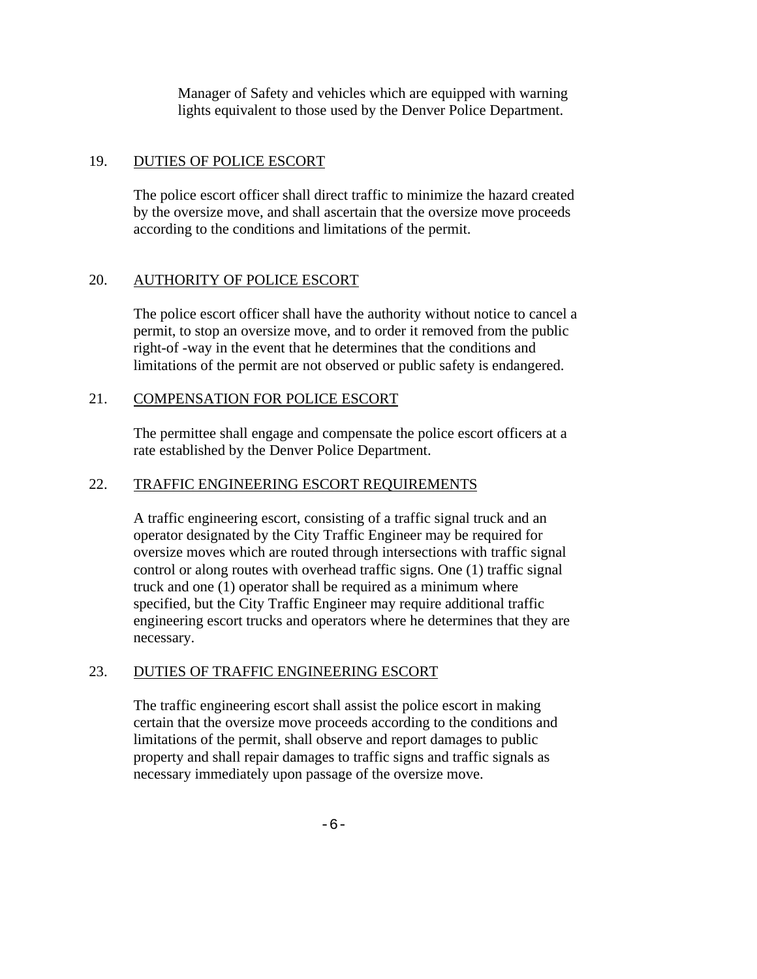Manager of Safety and vehicles which are equipped with warning lights equivalent to those used by the Denver Police Department.

### 19. DUTIES OF POLICE ESCORT

The police escort officer shall direct traffic to minimize the hazard created by the oversize move, and shall ascertain that the oversize move proceeds according to the conditions and limitations of the permit.

## 20. AUTHORITY OF POLICE ESCORT

The police escort officer shall have the authority without notice to cancel a permit, to stop an oversize move, and to order it removed from the public right-of -way in the event that he determines that the conditions and limitations of the permit are not observed or public safety is endangered.

### 21. COMPENSATION FOR POLICE ESCORT

The permittee shall engage and compensate the police escort officers at a rate established by the Denver Police Department.

### 22. TRAFFIC ENGINEERING ESCORT REQUIREMENTS

A traffic engineering escort, consisting of a traffic signal truck and an operator designated by the City Traffic Engineer may be required for oversize moves which are routed through intersections with traffic signal control or along routes with overhead traffic signs. One (1) traffic signal truck and one (1) operator shall be required as a minimum where specified, but the City Traffic Engineer may require additional traffic engineering escort trucks and operators where he determines that they are necessary.

## 23. DUTIES OF TRAFFIC ENGINEERING ESCORT

The traffic engineering escort shall assist the police escort in making certain that the oversize move proceeds according to the conditions and limitations of the permit, shall observe and report damages to public property and shall repair damages to traffic signs and traffic signals as necessary immediately upon passage of the oversize move.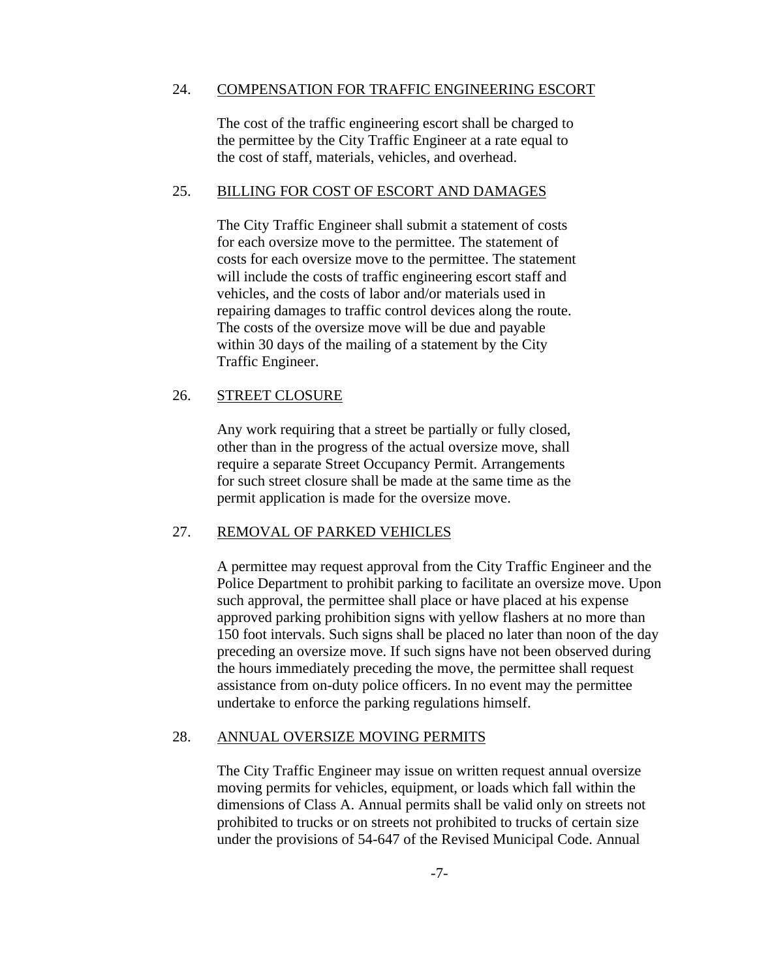## 24. COMPENSATION FOR TRAFFIC ENGINEERING ESCORT

The cost of the traffic engineering escort shall be charged to the permittee by the City Traffic Engineer at a rate equal to the cost of staff, materials, vehicles, and overhead.

### 25. BILLING FOR COST OF ESCORT AND DAMAGES

The City Traffic Engineer shall submit a statement of costs for each oversize move to the permittee. The statement of costs for each oversize move to the permittee. The statement will include the costs of traffic engineering escort staff and vehicles, and the costs of labor and/or materials used in repairing damages to traffic control devices along the route. The costs of the oversize move will be due and payable within 30 days of the mailing of a statement by the City Traffic Engineer.

## 26. STREET CLOSURE

Any work requiring that a street be partially or fully closed, other than in the progress of the actual oversize move, shall require a separate Street Occupancy Permit. Arrangements for such street closure shall be made at the same time as the permit application is made for the oversize move.

## 27. REMOVAL OF PARKED VEHICLES

A permittee may request approval from the City Traffic Engineer and the Police Department to prohibit parking to facilitate an oversize move. Upon such approval, the permittee shall place or have placed at his expense approved parking prohibition signs with yellow flashers at no more than 150 foot intervals. Such signs shall be placed no later than noon of the day preceding an oversize move. If such signs have not been observed during the hours immediately preceding the move, the permittee shall request assistance from on-duty police officers. In no event may the permittee undertake to enforce the parking regulations himself.

## 28. ANNUAL OVERSIZE MOVING PERMITS

The City Traffic Engineer may issue on written request annual oversize moving permits for vehicles, equipment, or loads which fall within the dimensions of Class A. Annual permits shall be valid only on streets not prohibited to trucks or on streets not prohibited to trucks of certain size under the provisions of 54-647 of the Revised Municipal Code. Annual